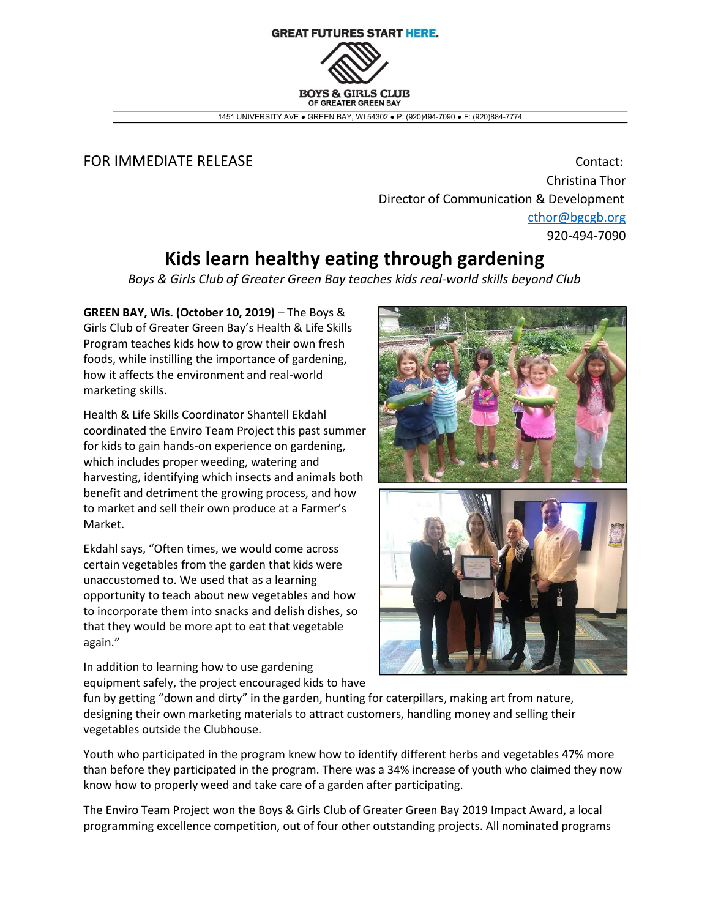## **GREAT FUTURES START HERE. BOYS & GIBLS CLUB** OF GREATER GREEN BAY

1451 UNIVERSITY AVE ● GREEN BAY, WI 54302 ● P: (920)494-7090 ● F: (920)884-7774

## FOR IMMEDIATE RELEASE **Contact:** Contact:

Christina Thor Director of Communication & Development cthor@bgcgb.org 920-494-7090

## Kids learn healthy eating through gardening

Boys & Girls Club of Greater Green Bay teaches kids real-world skills beyond Club

GREEN BAY, Wis. (October 10, 2019) – The Boys & Girls Club of Greater Green Bay's Health & Life Skills Program teaches kids how to grow their own fresh foods, while instilling the importance of gardening, how it affects the environment and real-world marketing skills.

Health & Life Skills Coordinator Shantell Ekdahl coordinated the Enviro Team Project this past summer for kids to gain hands-on experience on gardening, which includes proper weeding, watering and harvesting, identifying which insects and animals both benefit and detriment the growing process, and how to market and sell their own produce at a Farmer's Market.

Ekdahl says, "Often times, we would come across certain vegetables from the garden that kids were unaccustomed to. We used that as a learning opportunity to teach about new vegetables and how to incorporate them into snacks and delish dishes, so that they would be more apt to eat that vegetable again."

In addition to learning how to use gardening equipment safely, the project encouraged kids to have



fun by getting "down and dirty" in the garden, hunting for caterpillars, making art from nature, designing their own marketing materials to attract customers, handling money and selling their vegetables outside the Clubhouse.

Youth who participated in the program knew how to identify different herbs and vegetables 47% more than before they participated in the program. There was a 34% increase of youth who claimed they now know how to properly weed and take care of a garden after participating.

The Enviro Team Project won the Boys & Girls Club of Greater Green Bay 2019 Impact Award, a local programming excellence competition, out of four other outstanding projects. All nominated programs